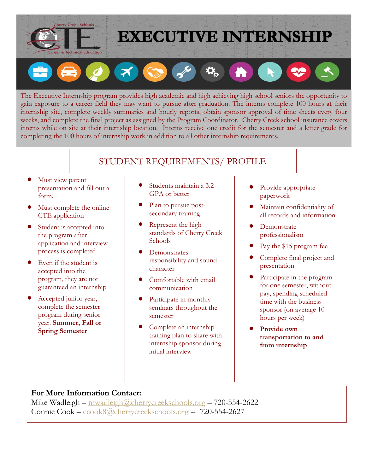

## **EXECUTIVE INTERNSHIP**

 $\ddot{\mathbf{Q}}_{\alpha}$  $\mathbf{X}$  $\left| \cdot \right|$ GS

The Executive Internship program provides high academic and high achieving high school seniors the opportunity to gain exposure to a career field they may want to pursue after graduation. The interns complete 100 hours at their internship site, complete weekly summaries and hourly reports, obtain sponsor approval of time sheets every four weeks, and complete the final project as assigned by the Program Coordinator. Cherry Creek school insurance covers interns while on site at their internship location. Interns receive one credit for the semester and a letter grade for completing the 100 hours of internship work in addition to all other internship requirements.

## STUDENT REQUIREMENTS/ PROFILE

- Must view parent presentation and fill out a form.
- Must complete the online CTE application
- Student is accepted into the program after application and interview process is completed
- Even if the student is accepted into the program, they are not guaranteed an internship
- Accepted junior year, complete the semester program during senior year. **Summer, Fall or Spring Semester**
- Students maintain a 3.2 GPA or better
- Plan to pursue postsecondary training
- Represent the high standards of Cherry Creek **Schools**
- Demonstrates responsibility and sound character
- Comfortable with email communication
- Participate in monthly seminars throughout the semester
- Complete an internship training plan to share with internship sponsor during initial interview
- Provide appropriate paperwork
- Maintain confidentiality of all records and information
- Demonstrate professionalism
- Pay the \$15 program fee
- Complete final project and presentation
- Participate in the program for one semester, without pay, spending scheduled time with the business sponsor (on average 10 hours per week)
- **Provide own transportation to and from internship**

## **For More Information Contact:**

Mike Wadleigh – [mwadleigh@cherrycreekschools.org](mailto:mwadleigh@cherrycreekschools.org) – 720-554-2622 Connie Cook – [ccook8@cherrycreekschools.org](mailto:ccook8@cherrycreekschools.org) -- 720-554-2627